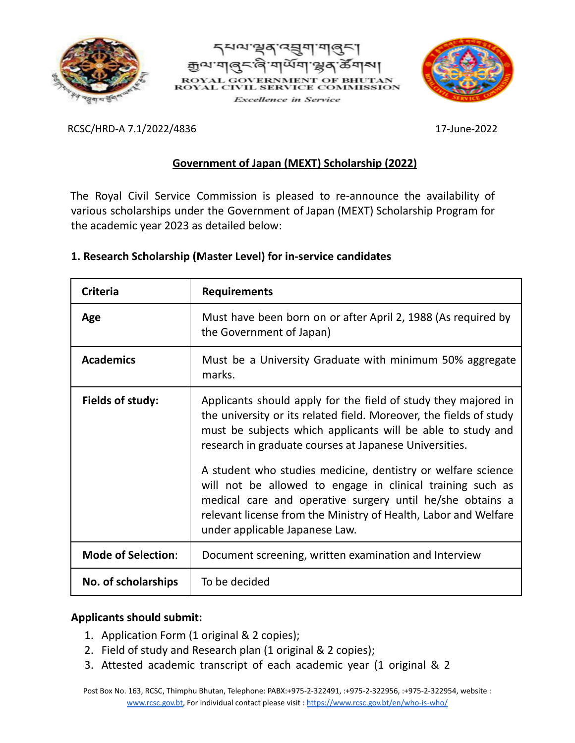





RCSC/HRD-A 7.1/2022/4836 17-June-2022

# **Government of Japan (MEXT) Scholarship (2022)**

The Royal Civil Service Commission is pleased to re-announce the availability of various scholarships under the Government of Japan (MEXT) Scholarship Program for the academic year 2023 as detailed below:

| <b>Criteria</b>           | <b>Requirements</b>                                                                                                                                                                                                                                                                                                                                                                                                                                                                                                                                           |  |
|---------------------------|---------------------------------------------------------------------------------------------------------------------------------------------------------------------------------------------------------------------------------------------------------------------------------------------------------------------------------------------------------------------------------------------------------------------------------------------------------------------------------------------------------------------------------------------------------------|--|
| Age                       | Must have been born on or after April 2, 1988 (As required by<br>the Government of Japan)                                                                                                                                                                                                                                                                                                                                                                                                                                                                     |  |
| <b>Academics</b>          | Must be a University Graduate with minimum 50% aggregate<br>marks.                                                                                                                                                                                                                                                                                                                                                                                                                                                                                            |  |
| Fields of study:          | Applicants should apply for the field of study they majored in<br>the university or its related field. Moreover, the fields of study<br>must be subjects which applicants will be able to study and<br>research in graduate courses at Japanese Universities.<br>A student who studies medicine, dentistry or welfare science<br>will not be allowed to engage in clinical training such as<br>medical care and operative surgery until he/she obtains a<br>relevant license from the Ministry of Health, Labor and Welfare<br>under applicable Japanese Law. |  |
| <b>Mode of Selection:</b> | Document screening, written examination and Interview                                                                                                                                                                                                                                                                                                                                                                                                                                                                                                         |  |
| No. of scholarships       | To be decided                                                                                                                                                                                                                                                                                                                                                                                                                                                                                                                                                 |  |

## **1. Research Scholarship (Master Level) for in-service candidates**

## **Applicants should submit:**

- 1. Application Form (1 original & 2 copies);
- 2. Field of study and Research plan (1 original & 2 copies);
- 3. Attested academic transcript of each academic year (1 original & 2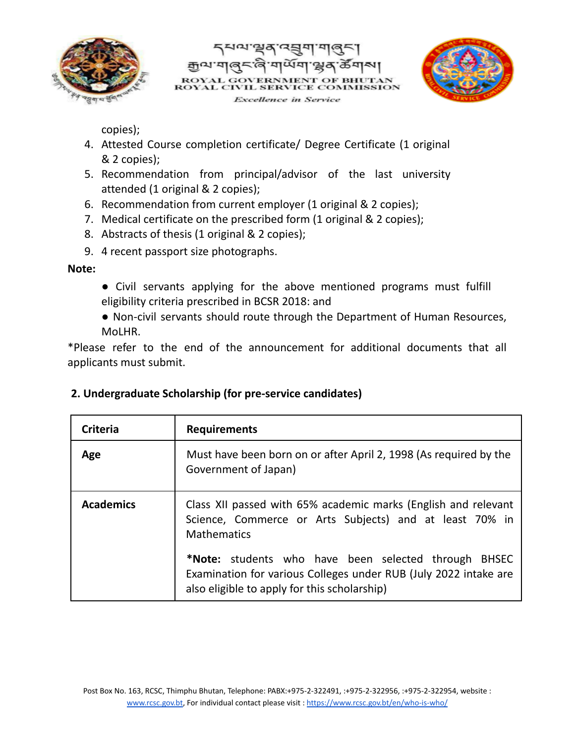





copies);

- 4. Attested Course completion certificate/ Degree Certificate (1 original & 2 copies);
- 5. Recommendation from principal/advisor of the last university attended (1 original & 2 copies);
- 6. Recommendation from current employer (1 original & 2 copies);
- 7. Medical certificate on the prescribed form (1 original & 2 copies);
- 8. Abstracts of thesis (1 original & 2 copies);
- 9. 4 recent passport size photographs.

**Note:**

- Civil servants applying for the above mentioned programs must fulfill eligibility criteria prescribed in BCSR 2018: and
- Non-civil servants should route through the Department of Human Resources, MoLHR.

\*Please refer to the end of the announcement for additional documents that all applicants must submit.

| Criteria         | <b>Requirements</b>                                                                                                                                                      |  |
|------------------|--------------------------------------------------------------------------------------------------------------------------------------------------------------------------|--|
| Age              | Must have been born on or after April 2, 1998 (As required by the<br>Government of Japan)                                                                                |  |
| <b>Academics</b> | Class XII passed with 65% academic marks (English and relevant<br>Science, Commerce or Arts Subjects) and at least 70% in<br><b>Mathematics</b>                          |  |
|                  | *Note: students who have been selected through BHSEC<br>Examination for various Colleges under RUB (July 2022 intake are<br>also eligible to apply for this scholarship) |  |

## **2. Undergraduate Scholarship (for pre-service candidates)**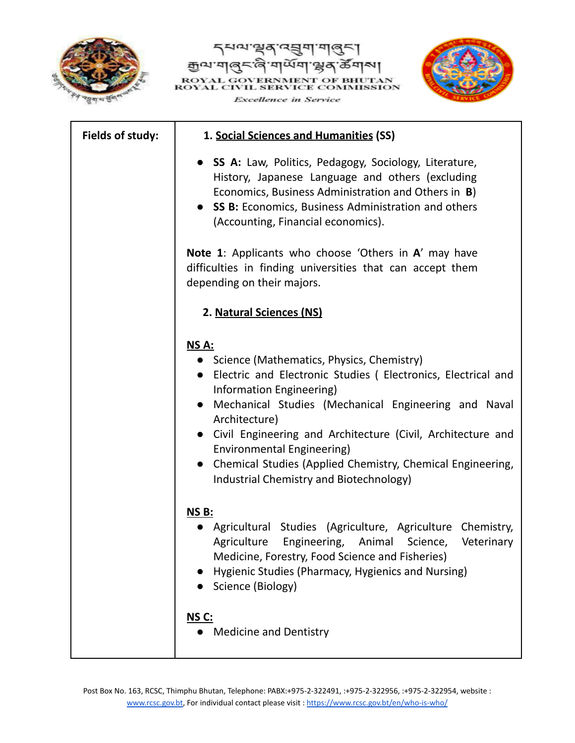





| Fields of study: | 1. Social Sciences and Humanities (SS)                                                                                                                                                                                                                                                                                                                                                                                                  |
|------------------|-----------------------------------------------------------------------------------------------------------------------------------------------------------------------------------------------------------------------------------------------------------------------------------------------------------------------------------------------------------------------------------------------------------------------------------------|
|                  | • SS A: Law, Politics, Pedagogy, Sociology, Literature,<br>History, Japanese Language and others (excluding<br>Economics, Business Administration and Others in B)<br>• SS B: Economics, Business Administration and others<br>(Accounting, Financial economics).                                                                                                                                                                       |
|                  | <b>Note 1:</b> Applicants who choose 'Others in A' may have<br>difficulties in finding universities that can accept them<br>depending on their majors.                                                                                                                                                                                                                                                                                  |
|                  | 2. Natural Sciences (NS)                                                                                                                                                                                                                                                                                                                                                                                                                |
|                  | NS A:<br>• Science (Mathematics, Physics, Chemistry)<br>• Electric and Electronic Studies (Electronics, Electrical and<br>Information Engineering)<br>• Mechanical Studies (Mechanical Engineering and Naval<br>Architecture)<br>• Civil Engineering and Architecture (Civil, Architecture and<br>Environmental Engineering)<br>• Chemical Studies (Applied Chemistry, Chemical Engineering,<br>Industrial Chemistry and Biotechnology) |
|                  | <b>NS B:</b><br>Agricultural Studies (Agriculture, Agriculture Chemistry,<br>Agriculture<br>Engineering,<br>Animal<br>Science,<br>Veterinary<br>Medicine, Forestry, Food Science and Fisheries)<br>Hygienic Studies (Pharmacy, Hygienics and Nursing)<br>Science (Biology)                                                                                                                                                              |
|                  | NS C:<br><b>Medicine and Dentistry</b>                                                                                                                                                                                                                                                                                                                                                                                                  |

Post Box No. 163, RCSC, Thimphu Bhutan, Telephone: PABX:+975-2-322491, :+975-2-322956, :+975-2-322954, website [:](http://www.rcsc.gov.bt/) [www.rcsc.gov.bt,](http://www.rcsc.gov.bt/) For individual contact please visit : <https://www.rcsc.gov.bt/en/who-is-who/>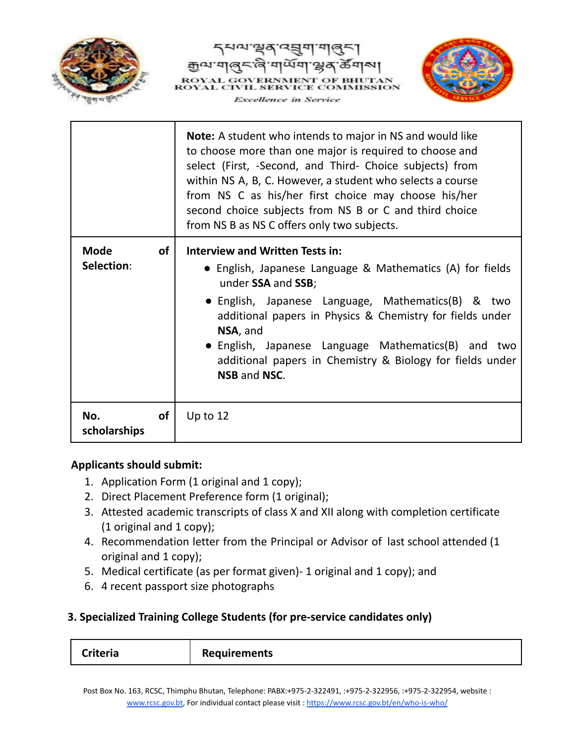





|                           |           | <b>Note:</b> A student who intends to major in NS and would like<br>to choose more than one major is required to choose and<br>select (First, -Second, and Third- Choice subjects) from<br>within NS A, B, C. However, a student who selects a course<br>from NS C as his/her first choice may choose his/her<br>second choice subjects from NS B or C and third choice<br>from NS B as NS C offers only two subjects. |  |
|---------------------------|-----------|------------------------------------------------------------------------------------------------------------------------------------------------------------------------------------------------------------------------------------------------------------------------------------------------------------------------------------------------------------------------------------------------------------------------|--|
| <b>Mode</b><br>Selection: | <b>of</b> | <b>Interview and Written Tests in:</b><br>• English, Japanese Language & Mathematics (A) for fields<br>under SSA and SSB;<br>• English, Japanese Language, Mathematics(B) & two<br>additional papers in Physics & Chemistry for fields under<br>NSA, and<br>• English, Japanese Language Mathematics(B) and two<br>additional papers in Chemistry & Biology for fields under<br>NSB and NSC.                           |  |
| No.<br>scholarships       | <b>of</b> | Up to $12$                                                                                                                                                                                                                                                                                                                                                                                                             |  |

## **Applicants should submit:**

- 1. Application Form (1 original and 1 copy);
- 2. Direct Placement Preference form (1 original);
- 3. Attested academic transcripts of class X and XII along with completion certificate (1 original and 1 copy);
- 4. Recommendation letter from the Principal or Advisor of last school attended (1 original and 1 copy);
- 5. Medical certificate (as per format given)- 1 original and 1 copy); and
- 6. 4 recent passport size photographs

## **3. Specialized Training College Students (for pre-service candidates only)**

| <b>Criteria</b><br><b>Requirements</b> |  |
|----------------------------------------|--|
|----------------------------------------|--|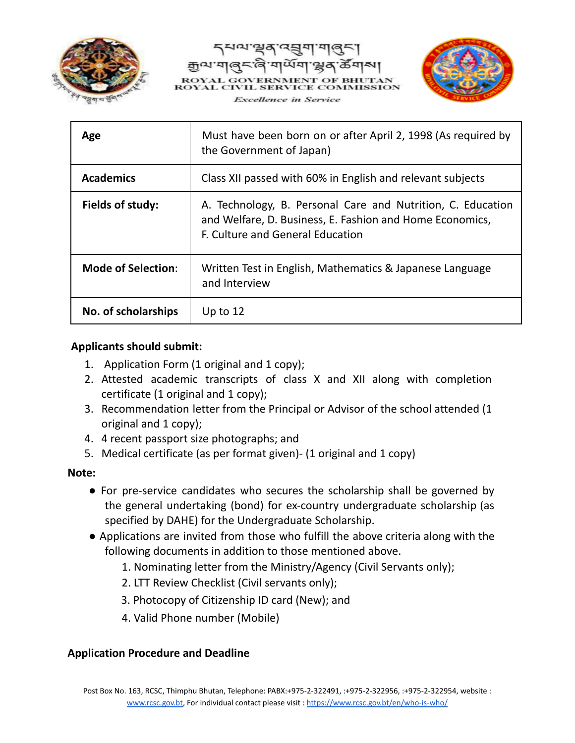





| Age                       | Must have been born on or after April 2, 1998 (As required by<br>the Government of Japan)                                                                   |  |
|---------------------------|-------------------------------------------------------------------------------------------------------------------------------------------------------------|--|
| <b>Academics</b>          | Class XII passed with 60% in English and relevant subjects                                                                                                  |  |
| Fields of study:          | A. Technology, B. Personal Care and Nutrition, C. Education<br>and Welfare, D. Business, E. Fashion and Home Economics,<br>F. Culture and General Education |  |
| <b>Mode of Selection:</b> | Written Test in English, Mathematics & Japanese Language<br>and Interview                                                                                   |  |
| No. of scholarships       | Up to $12$                                                                                                                                                  |  |

### **Applicants should submit:**

- 1. Application Form (1 original and 1 copy);
- 2. Attested academic transcripts of class X and XII along with completion certificate (1 original and 1 copy);
- 3. Recommendation letter from the Principal or Advisor of the school attended (1 original and 1 copy);
- 4. 4 recent passport size photographs; and
- 5. Medical certificate (as per format given)- (1 original and 1 copy)

#### **Note:**

- For pre-service candidates who secures the scholarship shall be governed by the general undertaking (bond) for ex-country undergraduate scholarship (as specified by DAHE) for the Undergraduate Scholarship.
- Applications are invited from those who fulfill the above criteria along with the following documents in addition to those mentioned above.
	- 1. Nominating letter from the Ministry/Agency (Civil Servants only);
	- 2. LTT Review Checklist (Civil servants only);
	- 3. Photocopy of Citizenship ID card (New); and
	- 4. Valid Phone number (Mobile)

## **Application Procedure and Deadline**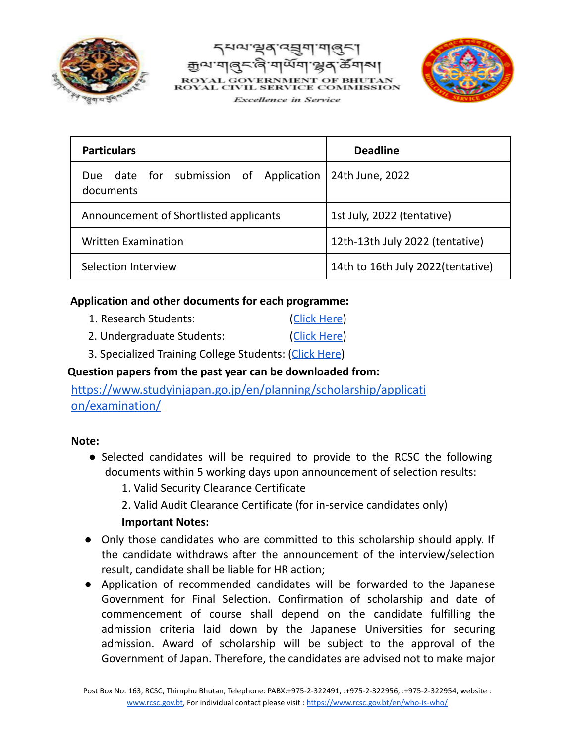





| <b>Particulars</b>                                     | <b>Deadline</b>                    |
|--------------------------------------------------------|------------------------------------|
| date for submission of Application<br>Due<br>documents | 24th June, 2022                    |
| Announcement of Shortlisted applicants                 | 1st July, 2022 (tentative)         |
| <b>Written Examination</b>                             | 12th-13th July 2022 (tentative)    |
| Selection Interview                                    | 14th to 16th July 2022 (tentative) |

## **Application and other documents for each programme:**

- 1. Research Students: (Click [Here](http://www.rcsc.gov.bt/wp-content/uploads/2022/05/Document-for-Research-1-1.zip))
- 2. Undergraduate Students: (Click [Here](http://www.rcsc.gov.bt/wp-content/uploads/2022/05/Undergraduate-Program-1.zip))
- 3. Specialized Training College Students: (Click [Here](http://www.rcsc.gov.bt/wp-content/uploads/2022/05/STC-1-1.zip))

## **Question papers from the past year can be downloaded from:**

[https://www.studyinjapan.go.jp/en/planning/scholarship/applicati](https://www.studyinjapan.go.jp/en/planning/scholarship/application/examination/) [on/examination/](https://www.studyinjapan.go.jp/en/planning/scholarship/application/examination/)

## **Note:**

- Selected candidates will be required to provide to the RCSC the following documents within 5 working days upon announcement of selection results:
	- 1. Valid Security Clearance Certificate
	- 2. Valid Audit Clearance Certificate (for in-service candidates only)

## **Important Notes:**

- Only those candidates who are committed to this scholarship should apply. If the candidate withdraws after the announcement of the interview/selection result, candidate shall be liable for HR action;
- Application of recommended candidates will be forwarded to the Japanese Government for Final Selection. Confirmation of scholarship and date of commencement of course shall depend on the candidate fulfilling the admission criteria laid down by the Japanese Universities for securing admission. Award of scholarship will be subject to the approval of the Government of Japan. Therefore, the candidates are advised not to make major